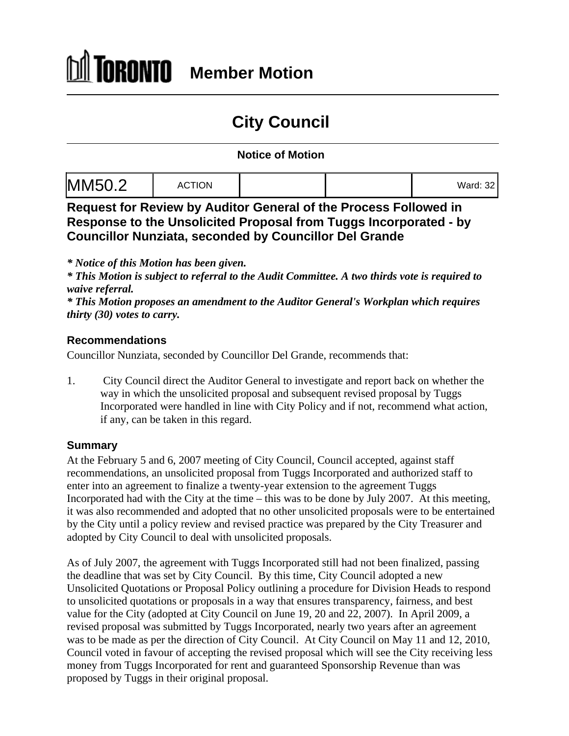## **City Council**

## **Notice of Motion**

|--|--|--|

**Request for Review by Auditor General of the Process Followed in Response to the Unsolicited Proposal from Tuggs Incorporated - by Councillor Nunziata, seconded by Councillor Del Grande**

*\* Notice of this Motion has been given.*

*\* This Motion is subject to referral to the Audit Committee. A two thirds vote is required to waive referral.*

*\* This Motion proposes an amendment to the Auditor General's Workplan which requires thirty (30) votes to carry.*

## **Recommendations**

Councillor Nunziata, seconded by Councillor Del Grande, recommends that:

1. City Council direct the Auditor General to investigate and report back on whether the way in which the unsolicited proposal and subsequent revised proposal by Tuggs Incorporated were handled in line with City Policy and if not, recommend what action, if any, can be taken in this regard.

## **Summary**

At the February 5 and 6, 2007 meeting of City Council, Council accepted, against staff recommendations, an unsolicited proposal from Tuggs Incorporated and authorized staff to enter into an agreement to finalize a twenty-year extension to the agreement Tuggs Incorporated had with the City at the time – this was to be done by July 2007. At this meeting, it was also recommended and adopted that no other unsolicited proposals were to be entertained by the City until a policy review and revised practice was prepared by the City Treasurer and adopted by City Council to deal with unsolicited proposals.

As of July 2007, the agreement with Tuggs Incorporated still had not been finalized, passing the deadline that was set by City Council. By this time, City Council adopted a new Unsolicited Quotations or Proposal Policy outlining a procedure for Division Heads to respond to unsolicited quotations or proposals in a way that ensures transparency, fairness, and best value for the City (adopted at City Council on June 19, 20 and 22, 2007). In April 2009, a revised proposal was submitted by Tuggs Incorporated, nearly two years after an agreement was to be made as per the direction of City Council. At City Council on May 11 and 12, 2010, Council voted in favour of accepting the revised proposal which will see the City receiving less money from Tuggs Incorporated for rent and guaranteed Sponsorship Revenue than was proposed by Tuggs in their original proposal.